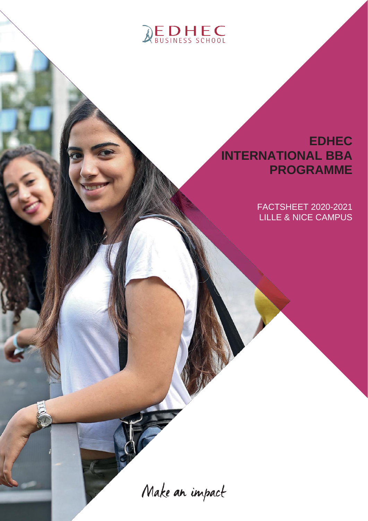

## **EDHEC INTERNATIONAL BBA PROGRAMME**

FACTSHEET 2020-2021 LILLE & NICE CAMPUS

Make an impact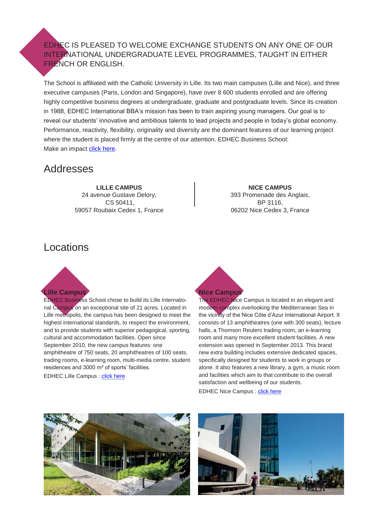EDHEC IS PLEASED TO WELCOME EXCHANGE STUDENTS ON ANY ONE OF OUR INTERNATIONAL UNDERGRADUATE LEVEL PROGRAMMES, TAUGHT IN EITHER FRENCH OR ENGLISH.

The School is affiliated with the Catholic University in Lille. Its two main campuses (Lille and Nice), and three executive campuses (Paris, London and Singapore), have over 8 600 students enrolled and are offering highly competitive business degrees at undergraduate, graduate and postgraduate levels. Since its creation in 1988, EDHEC International BBA's mission has been to train aspiring young managers. Our goal is to reveal our students' innovative and ambitious talents to lead projects and people in today's global economy. Performance, reactivity, flexibility, originality and diversity are the dominant features of our learning project where the student is placed firmly at the centre of our attention. EDHEC Business School: Make an impact [click here.](https://youtu.be/0p3NYQLtatc)

## Addresses

**LILLE CAMPUS** 24 avenue Gustave Delory, CS 50411, 59057 Roubaix Cedex 1, France

**NICE CAMPUS** 393 Promenade des Anglais, BP 3116, 06202 Nice Cedex 3, France

## Locations



EDHEC Business School chose to build its Lille International Campus on an exceptional site of 21 acres. Located in Lille metropolis, the campus has been designed to meet the highest international standards, to respect the environment, and to provide students with superior pedagogical, sporting, cultural and accommodation facilities. Open since September 2010, the new campus features: one amphitheatre of 750 seats, 20 amphitheatres of 100 seats, trading rooms, e-learning room, multi-media centre, student residences and 3000 m² of sports' facilities.

EDHEC Lille Campus : [click here](https://www.youtube.com/watch?v=thaXirW3DOo&t=3s)

# **Nice Campus**

The EDHEC Nice Campus is located in an elegant and modern complex overlooking the Mediterranean Sea in the vicinity of the Nice Côte d'Azur International Airport. It consists of 13 amphitheatres (one with 300 seats), lecture halls, a Thomson Reuters trading room, an e-learning room and many more excellent student facilities. A new extension was opened in September 2013. This brand new extra building includes extensive dedicated spaces, specifically designed for students to work in groups or alone. It also features a new library, a gym, a music room and facilities which aim to that contribute to the overall satisfaction and wellbeing of our students.

EDHEC Nice Campus : [click here](https://www.youtube.com/watch?v=QF-kUzLr33w)



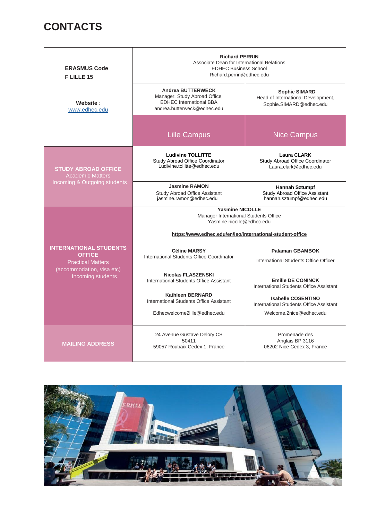## **CONTACTS**

| <b>ERASMUS Code</b><br>F LILLE 15                                                                                            | <b>Richard PERRIN</b><br>Associate Dean for International Relations<br><b>EDHEC Business School</b><br>Richard.perrin@edhec.edu                           |                                                                                                 |  |
|------------------------------------------------------------------------------------------------------------------------------|-----------------------------------------------------------------------------------------------------------------------------------------------------------|-------------------------------------------------------------------------------------------------|--|
| Website:<br>www.edhec.edu                                                                                                    | <b>Andrea BUTTERWECK</b><br>Manager, Study Abroad Office,<br><b>EDHEC International BBA</b><br>andrea.butterweck@edhec.edu                                | <b>Sophie SIMARD</b><br>Head of International Development,<br>Sophie.SIMARD@edhec.edu           |  |
|                                                                                                                              | <b>Lille Campus</b>                                                                                                                                       | <b>Nice Campus</b>                                                                              |  |
| <b>STUDY ABROAD OFFICE</b><br><b>Academic Matters</b><br>Incoming & Outgoing students                                        | <b>Ludivine TOLLITTE</b><br><b>Study Abroad Office Coordinator</b><br>Ludivine.tollitte@edhec.edu                                                         | <b>Laura CLARK</b><br>Study Abroad Office Coordinator<br>Laura.clark@edhec.edu                  |  |
|                                                                                                                              | <b>Jasmine RAMON</b><br>Study Abroad Office Assistant<br>jasmine.ramon@edhec.edu                                                                          | <b>Hannah Sztumpf</b><br><b>Study Abroad Office Assistant</b><br>hannah.sztumpf@edhec.edu       |  |
| <b>INTERNATIONAL STUDENTS</b><br><b>OFFICE</b><br><b>Practical Matters</b><br>(accommodation, visa etc)<br>Incoming students | <b>Yasmine NICOLLE</b><br>Manager International Students Office<br>Yasmine.nicolle@edhec.edu<br>https://www.edhec.edu/en/iso/international-student-office |                                                                                                 |  |
|                                                                                                                              | <b>Céline MARSY</b><br>International Students Office Coordinator                                                                                          | <b>Palaman GBAMBOK</b><br>International Students Office Officer                                 |  |
|                                                                                                                              | <b>Nicolas FLASZENSKI</b><br>International Students Office Assistant                                                                                      | <b>Emilie DE CONINCK</b><br>International Students Office Assistant                             |  |
|                                                                                                                              | <b>Kathleen BERNARD</b><br>International Students Office Assistant<br>Edhecwelcome2lille@edhec.edu                                                        | <b>Isabelle COSENTINO</b><br>International Students Office Assistant<br>Welcome.2nice@edhec.edu |  |
| <b>MAILING ADDRESS</b>                                                                                                       | 24 Avenue Gustave Delory CS<br>50411<br>59057 Roubaix Cedex 1, France                                                                                     | Promenade des<br>Anglais BP 3116<br>06202 Nice Cedex 3, France                                  |  |

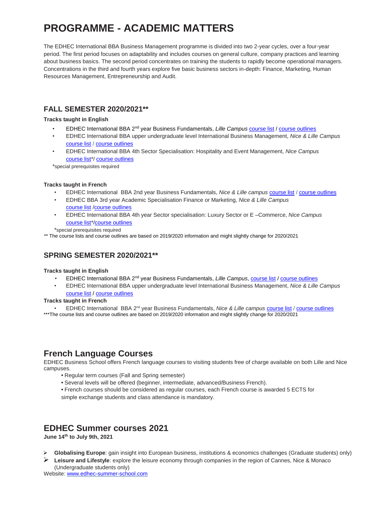## **PROGRAMME - ACADEMIC MATTERS**

The EDHEC International BBA Business Management programme is divided into two 2-year cycles, over a four-year period. The first period focuses on adaptability and includes courses on general culture, company practices and learning about business basics. The second period concentrates on training the students to rapidly become operational managers. Concentrations in the third and fourth years explore five basic business sectors in-depth: Finance, Marketing, Human Resources Management, Entrepreneurship and Audit.

## **FALL SEMESTER 2020/2021\*\***

## **Tracks taught in English**

- EDHEC International BBA 2nd year Business Fundamentals, *Lille Campus* [course list](https://www.edhec.edu/sites/myedhec/files/doc_international/Course_List_BBA2S1_ET.pdf) / [course outlines](https://www.edhec.edu/sites/myedhec/files/BOOK%20BBA2_ET_LILLE_2020_21_LILLE.pdf)
- EDHEC International BBA upper undergraduate level International Business Management, *Nice & Lille Campus* [course list](https://www.edhec.edu/sites/myedhec/files/doc_international/Course_List_IBT_FALL%202020_EN_0.pdf) / [course outlines](https://www.edhec.edu/sites/myedhec/files/BOOK%20BBA4_IBT_NICE_2020_21%20-%20update%2009%2009%2020.pdf)
- EDHEC International BBA 4th Sector Specialisation: Hospitality and Event Management, *Nice Campus* [course list\\*](https://www.edhec.edu/sites/myedhec/files/doc_international/Course_List_BBA4S1_HOSP_EN_20.pdf)/ [course outlines](https://www.edhec.edu/sites/myedhec/files/Fall_20_21_BOOK%20BBA4_NICE_2020_21_Hospitality.pdf)

\*special prerequisites required

## **Tracks taught in French**

- EDHEC International BBA 2nd year Business Fundamentals, *Nice & Lille campus* [course list](https://www.edhec.edu/sites/myedhec/files/doc_international/Course_List_BBA2S1_FR20.pdf) / [course outlines](https://www.edhec.edu/sites/myedhec/files/Fall_20_21_BOOK%20BBA2_FT_LN.pdf)
- EDHEC BBA 3rd year Academic Specialisation Finance or Marketing, *Nice & Lille Campus* [course list](https://www.edhec.edu/sites/myedhec/files/doc_international/Course_List_BBA3S1_FR20.pdf) [/course outlines](https://www.edhec.edu/sites/myedhec/files/Fall_20_21_BOOK%20BBA3_LN_2020_21_Academic%20specialization%20Marketing%20OR%20Finance.pdf)
- EDHEC International BBA 4th year Sector specialisation: Luxury Sector or E –Commerce, *Nice Campus* [course list\\*](https://www.edhec.edu/sites/myedhec/files/doc_international/Course_List_BBA4S1_SPEC_FR_20.pdf)[/course outlines](https://www.edhec.edu/sites/myedhec/files/Fall_20_21_BOOK%20BBA4_NICE_Luxury_%20E%20COMMERCE.pdf)

\*special prerequisites required

\*\* The course lists and course outlines are based on 2019/2020 information and might slightly change for 2020/2021

## **SPRING SEMESTER 2020/2021\*\***

## **Tracks taught in English**

- EDHEC International BBA 2nd year Business Fundamentals, *Lille Campus*[, course list](https://www.edhec.edu/sites/myedhec/files/doc_international/Course_List_BBA2S2_EN21_.pdf) [/ course outlines](https://www.edhec.edu/sites/myedhec/files/BOOK%20BBA2_ET_LILLE_2020_21_LILLE.pdf)
- EDHEC International BBA upper undergraduate level International Business Management, *Nice & Lille Campus* [course list](https://www.edhec.edu/sites/myedhec/files/doc_international/Course_List_IBT_SPRING%202021_EN.pdf) / [course outlines](https://www.edhec.edu/sites/myedhec/files/Spring_20_21_BOOK%20BBA3_IBT_LN_.pdf)

## **Tracks taught in French**

• EDHEC International BBA 2nd year Business Fundamentals, *Nice & Lille campus* [course list](https://www.edhec.edu/sites/myedhec/files/doc_international/Course_List_BBA2S2_FR_20.pdf) [/ course outlines](https://www.edhec.edu/sites/myedhec/files/Spring_20-21_BOOK%20BBA2_FT_LN.pdf) \*\*\*The course lists and course outlines are based on 2019/2020 information and might slightly change for 2020/2021

## **French Language Courses**

EDHEC Business School offers French language courses to visiting students free of charge available on both Lille and Nice campuses.

- **•** Regular term courses (Fall and Spring semester)
- **•** Several levels will be offered (beginner, intermediate, advanced/Business French).
- **•** French courses should be considered as regular courses, each French course is awarded 5 ECTS for simple exchange students and class attendance is mandatory.

## **EDHEC Summer courses 2021**

**June 14 th to July 9th, 2021**

- **Globalising Europe**: gain insight into European business, institutions & economics challenges (Graduate students) only)
- **Leisure and Lifestyle**: explore the leisure economy through companies in the region of Cannes, Nice & Monaco (Undergraduate students only)

Website: [www.edhec-summer-school.com](http://www.edhec-summer-school.com/)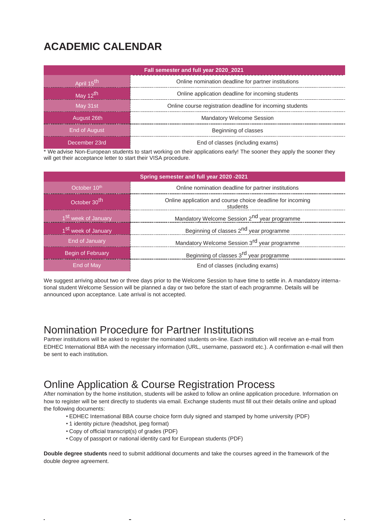## **ACADEMIC CALENDAR**

| Fall semester and full year 2020 2021 |                                                           |  |
|---------------------------------------|-----------------------------------------------------------|--|
| April 15 <sup>th</sup>                | Online nomination deadline for partner institutions       |  |
| May 12 <sup>th</sup>                  | Online application deadline for incoming students         |  |
| May 31st                              | Online course registration deadline for incoming students |  |
| August 26th                           | <b>Mandatory Welcome Session</b>                          |  |
| End of August                         | Beginning of classes                                      |  |
| December 23rd                         | End of classes (including exams)                          |  |

\* We advise Non-European students to start working on their applications early! The sooner they apply the sooner they will get their acceptance letter to start their VISA procedure.

| Spring semester and full year 2020 -2021 |                                                                        |  |
|------------------------------------------|------------------------------------------------------------------------|--|
| October 10 <sup>th</sup>                 | Online nomination deadline for partner institutions                    |  |
| October 30th                             | Online application and course choice deadline for incoming<br>students |  |
| 1 <sup>St</sup> week of January          | Mandatory Welcome Session 2 <sup>nd</sup> year programme               |  |
| 1 <sup>St</sup> week of January          | Beginning of classes 2 <sup>nd</sup> year programme                    |  |
| End of January                           | Mandatory Welcome Session 3 <sup>rd</sup> year programme               |  |
| Begin of February                        | Beginning of classes 3 <sup>rd</sup> year programme                    |  |
| End of May                               | End of classes (including exams)                                       |  |

We suggest arriving about two or three days prior to the Welcome Session to have time to settle in. A mandatory international student Welcome Session will be planned a day or two before the start of each programme. Details will be announced upon acceptance. Late arrival is not accepted.

## Nomination Procedure for Partner Institutions

Partner institutions will be asked to register the nominated students on-line. Each institution will receive an e-mail from EDHEC International BBA with the necessary information (URL, username, password etc.). A confirmation e-mail will then be sent to each institution.

## Online Application & Course Registration Process

After nomination by the home institution, students will be asked to follow an online application procedure. Information on how to register will be sent directly to students via email. Exchange students must fill out their details online and upload the following documents:

- EDHEC International BBA course choice form duly signed and stamped by home university (PDF)
- 1 identity picture (headshot, jpeg format)
- Copy of official transcript(s) of grades (PDF)
- Copy of passport or national identity card for European students (PDF)

**Double degree students** need to submit additional documents and take the courses agreed in the framework of the double degree agreement.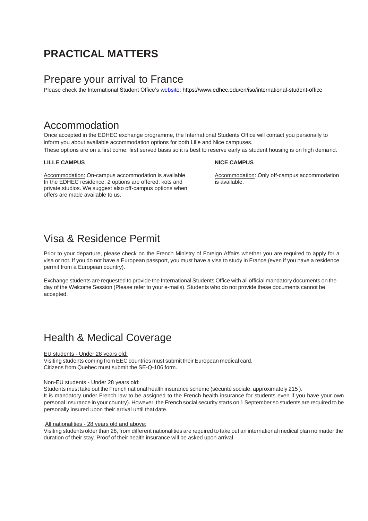## **PRACTICAL MATTERS**

## Prepare your arrival to France

Please check the International Student Office's [website:](https://www.edhec.edu/en/iso/international-student-office) https://www.edhec.edu/en/iso/international-student-office

## Accommodation

Once accepted in the EDHEC exchange programme, the International Students Office will contact you personally to inform you about available accommodation options for both Lille and Nice campuses. These options are on a first come, first served basis so it is best to reserve early as student housing is on high demand.

### **LILLE CAMPUS NICE CAMPUS**

Accommodation: On-campus accommodation is available Accommodation: Only off-campus accommodation In the EDHEC residence. 2 options are offered: kots and is available. private studios. We suggest also off-campus options when offers are made available to us.

## Visa & Residence Permit

Prior to your departure, please check on the [French Ministry of Foreign Affairs](http://www.diplomatie.gouv.fr/en/coming-to-france/getting-a-visa/) whether you are required to apply for a visa or not. If you do not have a European passport, you must have a visa to study in France (even if you have a residence permit from a European country).

Exchange students are requested to provide the International Students Office with all official mandatory documents on the day of the Welcome Session (Please refer to your e-mails). Students who do not provide these documents cannot be accepted.

## Health & Medical Coverage

### EU students - Under 28 years old:

Visiting students coming from EEC countries must submit their European medical card. Citizens from Quebec must submit the SE-Q-106 form.

## Non-EU students - Under 28 years old:

Students must take out the French national health insurance scheme (sécurité sociale, approximately 215 ). It is mandatory under French law to be assigned to the French health insurance for students even if you have your own personal insurance in your country). However, the French social security starts on 1 September so students are required to be personally insured upon their arrival until that date.

### All nationalities - 28 years old and above:

Visiting students older than 28, from different nationalities are required to take out an international medical plan no matter the duration of their stay. Proof of their health insurance will be asked upon arrival.